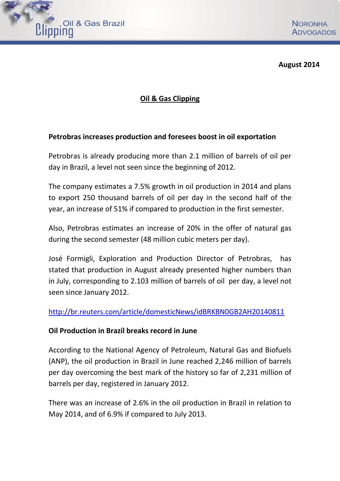

**August 2014**

## **Oil & Gas Clipping**

## **Petrobras increases production and foresees boost in oil exportation**

Petrobras is already producing more than 2.1 million of barrels of oil per day in Brazil, a level not seen since the beginning of 2012.

The company estimates a 7.5% growth in oil production in 2014 and plans to export 250 thousand barrels of oil per day in the second half of the year, an increase of 51% if compared to production in the first semester.

Also, Petrobras estimates an increase of 20% in the offer of natural gas during the second semester (48 million cubic meters per day).

José Formigli, Exploration and Production Director of Petrobras, has stated that production in August already presented higher numbers than in July, corresponding to 2.103 million of barrels of oil per day, a level not seen since January 2012.

## <http://br.reuters.com/article/domesticNews/idBRKBN0GB2AH20140811>

## **Oil Production in Brazil breaks record in June**

According to the National Agency of Petroleum, Natural Gas and Biofuels (ANP), the oil production in Brazil in June reached 2,246 million of barrels per day overcoming the best mark of the history so far of 2,231 million of barrels per day, registered in January 2012.

There was an increase of 2.6% in the oil production in Brazil in relation to May 2014, and of 6.9% if compared to July 2013.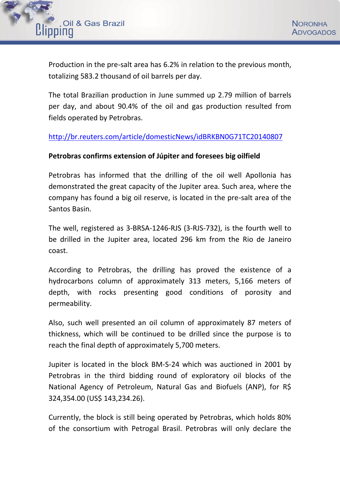

Production in the pre-salt area has 6.2% in relation to the previous month, totalizing 583.2 thousand of oil barrels per day.

The total Brazilian production in June summed up 2.79 million of barrels per day, and about 90.4% of the oil and gas production resulted from fields operated by Petrobras.

## <http://br.reuters.com/article/domesticNews/idBRKBN0G71TC20140807>

#### **Petrobras confirms extension of Júpiter and foresees big oilfield**

Petrobras has informed that the drilling of the oil well Apollonia has demonstrated the great capacity of the Jupiter area. Such area, where the company has found a big oil reserve, is located in the pre-salt area of the Santos Basin.

The well, registered as 3-BRSA-1246-RJS (3-RJS-732), is the fourth well to be drilled in the Jupiter area, located 296 km from the Rio de Janeiro coast.

According to Petrobras, the drilling has proved the existence of a hydrocarbons column of approximately 313 meters, 5,166 meters of depth, with rocks presenting good conditions of porosity and permeability.

Also, such well presented an oil column of approximately 87 meters of thickness, which will be continued to be drilled since the purpose is to reach the final depth of approximately 5,700 meters.

Jupiter is located in the block BM-S-24 which was auctioned in 2001 by Petrobras in the third bidding round of exploratory oil blocks of the National Agency of Petroleum, Natural Gas and Biofuels (ANP), for R\$ 324,354.00 (US\$ 143,234.26).

Currently, the block is still being operated by Petrobras, which holds 80% of the consortium with Petrogal Brasil. Petrobras will only declare the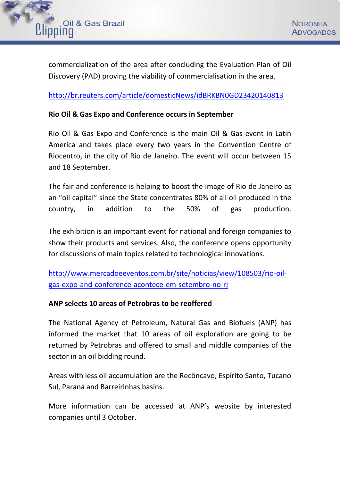

commercialization of the area after concluding the Evaluation Plan of Oil Discovery (PAD) proving the viability of commercialisation in the area.

<http://br.reuters.com/article/domesticNews/idBRKBN0GD23420140813>

### **Rio Oil & Gas Expo and Conference occurs in September**

Rio Oil & Gas Expo and Conference is the main Oil & Gas event in Latin America and takes place every two years in the Convention Centre of Riocentro, in the city of Rio de Janeiro. The event will occur between 15 and 18 September.

The fair and conference is helping to boost the image of Rio de Janeiro as an "oil capital" since the State concentrates 80% of all oil produced in the country, in addition to the 50% of gas production.

The exhibition is an important event for national and foreign companies to show their products and services. Also, the conference opens opportunity for discussions of main topics related to technological innovations.

[http://www.mercadoeeventos.com.br/site/noticias/view/108503/rio-oil](http://www.mercadoeeventos.com.br/site/noticias/view/108503/rio-oil-gas-expo-and-conference-acontece-em-setembro-no-rj)[gas-expo-and-conference-acontece-em-setembro-no-rj](http://www.mercadoeeventos.com.br/site/noticias/view/108503/rio-oil-gas-expo-and-conference-acontece-em-setembro-no-rj)

#### **ANP selects 10 areas of Petrobras to be reoffered**

The National Agency of Petroleum, Natural Gas and Biofuels (ANP) has informed the market that 10 areas of oil exploration are going to be returned by Petrobras and offered to small and middle companies of the sector in an oil bidding round.

Areas with less oil accumulation are the Recôncavo, Espírito Santo, Tucano Sul, Paraná and Barreirinhas basins.

More information can be accessed at ANP's website by interested companies until 3 October.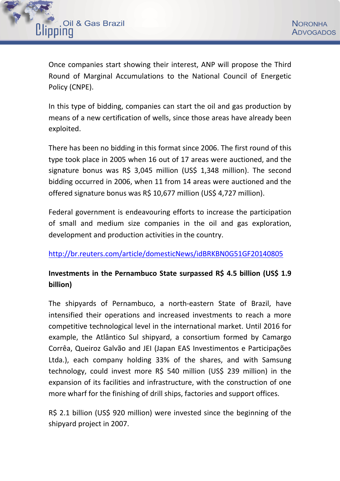

Once companies start showing their interest, ANP will propose the Third Round of Marginal Accumulations to the National Council of Energetic Policy (CNPE).

In this type of bidding, companies can start the oil and gas production by means of a new certification of wells, since those areas have already been exploited.

There has been no bidding in this format since 2006. The first round of this type took place in 2005 when 16 out of 17 areas were auctioned, and the signature bonus was R\$ 3,045 million (US\$ 1,348 million). The second bidding occurred in 2006, when 11 from 14 areas were auctioned and the offered signature bonus was R\$ 10,677 million (US\$ 4,727 million).

Federal government is endeavouring efforts to increase the participation of small and medium size companies in the oil and gas exploration, development and production activities in the country.

## <http://br.reuters.com/article/domesticNews/idBRKBN0G51GF20140805>

# **Investments in the Pernambuco State surpassed R\$ 4.5 billion (US\$ 1.9 billion)**

The shipyards of Pernambuco, a north-eastern State of Brazil, have intensified their operations and increased investments to reach a more competitive technological level in the international market. Until 2016 for example, the Atlântico Sul shipyard, a consortium formed by Camargo Corrêa, Queiroz Galvão and JEI (Japan EAS Investimentos e Participações Ltda.), each company holding 33% of the shares, and with Samsung technology, could invest more R\$ 540 million (US\$ 239 million) in the expansion of its facilities and infrastructure, with the construction of one more wharf for the finishing of drill ships, factories and support offices.

R\$ 2.1 billion (US\$ 920 million) were invested since the beginning of the shipyard project in 2007.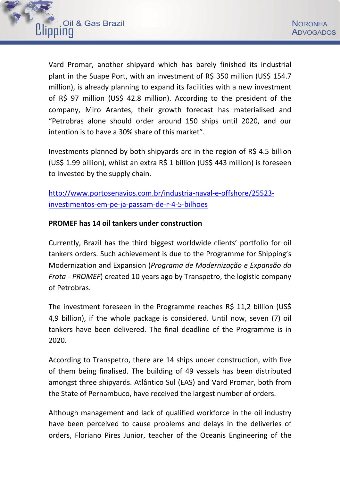

Vard Promar, another shipyard which has barely finished its industrial plant in the Suape Port, with an investment of R\$ 350 million (US\$ 154.7 million), is already planning to expand its facilities with a new investment of R\$ 97 million (US\$ 42.8 million). According to the president of the company, Miro Arantes, their growth forecast has materialised and "Petrobras alone should order around 150 ships until 2020, and our intention is to have a 30% share of this market".

Investments planned by both shipyards are in the region of R\$ 4.5 billion (US\$ 1.99 billion), whilst an extra R\$ 1 billion (US\$ 443 million) is foreseen to invested by the supply chain.

[http://www.portosenavios.com.br/industria-naval-e-offshore/25523](http://www.portosenavios.com.br/industria-naval-e-offshore/25523-investimentos-em-pe-ja-passam-de-r-4-5-bilhoes) [investimentos-em-pe-ja-passam-de-r-4-5-bilhoes](http://www.portosenavios.com.br/industria-naval-e-offshore/25523-investimentos-em-pe-ja-passam-de-r-4-5-bilhoes)

### **[PROMEF has 14 oil tankers under construction](http://www.portosenavios.com.br/industria-naval-e-offshore/25530-promef-tem-14-petroleiros-em-construcao)**

Currently, Brazil has the third biggest worldwide clients' portfolio for oil tankers orders. Such achievement is due to the Programme for Shipping's Modernization and Expansion (*Programa de Modernização e Expansão da Frota - PROMEF*) created 10 years ago by Transpetro, the logistic company of Petrobras.

The investment foreseen in the Programme reaches R\$ 11,2 billion (US\$) 4,9 billion), if the whole package is considered. Until now, seven (7) oil tankers have been delivered. The final deadline of the Programme is in 2020.

According to Transpetro, there are 14 ships under construction, with five of them being finalised. The building of 49 vessels has been distributed amongst three shipyards. Atlântico Sul (EAS) and Vard Promar, both from the State of Pernambuco, have received the largest number of orders.

Although management and lack of qualified workforce in the oil industry have been perceived to cause problems and delays in the deliveries of orders, Floriano Pires Junior, teacher of the Oceanis Engineering of the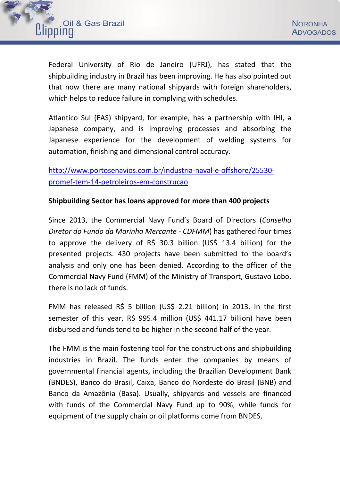

Federal University of Rio de Janeiro (UFRJ), has stated that the shipbuilding industry in Brazil has been improving. He has also pointed out that now there are many national shipyards with foreign shareholders, which helps to reduce failure in complying with schedules.

Atlantico Sul (EAS) shipyard, for example, has a partnership with IHI, a Japanese company, and is improving processes and absorbing the Japanese experience for the development of welding systems for automation, finishing and dimensional control accuracy.

[http://www.portosenavios.com.br/industria-naval-e-offshore/25530](http://www.portosenavios.com.br/industria-naval-e-offshore/25530-promef-tem-14-petroleiros-em-construcao) [promef-tem-14-petroleiros-em-construcao](http://www.portosenavios.com.br/industria-naval-e-offshore/25530-promef-tem-14-petroleiros-em-construcao)

#### **Shipbuilding Sector has loans approved for more than 400 projects**

Since 2013, the Commercial Navy Fund's Board of Directors (*Conselho Diretor do Fundo da Marinha Mercante - CDFMM*) has gathered four times to approve the delivery of R\$ 30.3 billion (US\$ 13.4 billion) for the presented projects. 430 projects have been submitted to the board's analysis and only one has been denied. According to the officer of the Commercial Navy Fund (FMM) of the Ministry of Transport, Gustavo Lobo, there is no lack of funds.

FMM has released R\$ 5 billion (US\$ 2.21 billion) in 2013. In the first semester of this year, R\$ 995.4 million (US\$ 441.17 billion) have been disbursed and funds tend to be higher in the second half of the year.

The FMM is the main fostering tool for the constructions and shipbuilding industries in Brazil. The funds enter the companies by means of governmental financial agents, including the Brazilian Development Bank (BNDES), Banco do Brasil, Caixa, Banco do Nordeste do Brasil (BNB) and Banco da Amazônia (Basa). Usually, shipyards and vessels are financed with funds of the Commercial Navy Fund up to 90%, while funds for equipment of the supply chain or oil platforms come from BNDES.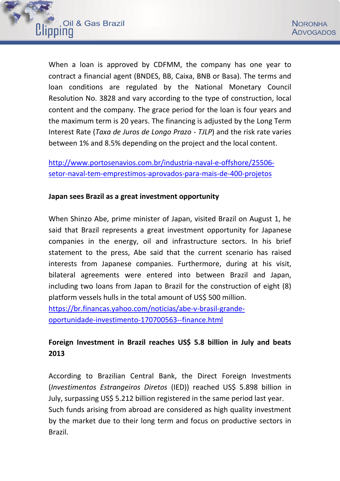

When a loan is approved by CDFMM, the company has one year to contract a financial agent (BNDES, BB, Caixa, BNB or Basa). The terms and loan conditions are regulated by the National Monetary Council Resolution No. 3828 and vary according to the type of construction, local content and the company. The grace period for the loan is four years and the maximum term is 20 years. The financing is adjusted by the Long Term Interest Rate (*Taxa de Juros de Longo Prazo - TJLP*) and the risk rate varies between 1% and 8.5% depending on the project and the local content.

[http://www.portosenavios.com.br/industria-naval-e-offshore/25506](http://www.portosenavios.com.br/industria-naval-e-offshore/25506-setor-naval-tem-emprestimos-aprovados-para-mais-de-400-projetos) [setor-naval-tem-emprestimos-aprovados-para-mais-de-400-projetos](http://www.portosenavios.com.br/industria-naval-e-offshore/25506-setor-naval-tem-emprestimos-aprovados-para-mais-de-400-projetos)

#### **Japan sees Brazil as a great investment opportunity**

When Shinzo Abe, prime minister of Japan, visited Brazil on August 1, he said that Brazil represents a great investment opportunity for Japanese companies in the energy, oil and infrastructure sectors. In his brief statement to the press, Abe said that the current scenario has raised interests from Japanese companies. Furthermore, during at his visit, bilateral agreements were entered into between Brazil and Japan, including two loans from Japan to Brazil for the construction of eight (8) platform vessels hulls in the total amount of US\$ 500 million. https://br.financas.yahoo.com/noticias/abe-v-brasil-grande-

oportunidade-investimento-170700563--finance.html

# **Foreign Investment in Brazil reaches US\$ 5.8 billion in July and beats 2013**

According to Brazilian Central Bank, the Direct Foreign Investments (*Investimentos Estrangeiros Diretos* (IED)) reached US\$ 5.898 billion in July, surpassing US\$ 5.212 billion registered in the same period last year. Such funds arising from abroad are considered as high quality investment by the market due to their long term and focus on productive sectors in Brazil.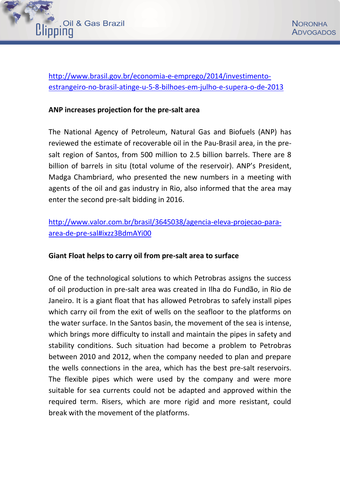

http://www.brasil.gov.br/economia-e-emprego/2014/investimentoestrangeiro-no-brasil-atinge-u-5-8-bilhoes-em-julho-e-supera-o-de-2013

#### **ANP increases projection for the pre-salt area**

The National Agency of Petroleum, Natural Gas and Biofuels (ANP) has reviewed the estimate of recoverable oil in the Pau-Brasil area, in the presalt region of Santos, from 500 million to 2.5 billion barrels. There are 8 billion of barrels in situ (total volume of the reservoir). ANP's President, Madga Chambriard, who presented the new numbers in a meeting with agents of the oil and gas industry in Rio, also informed that the area may enter the second pre-salt bidding in 2016.

## http://www.valor.com.br/brasil/3645038/agencia-eleva-projecao-paraarea-de-pre-sal#ixzz3BdmAYi00

#### **Giant Float helps to carry oil from pre-salt area to surface**

One of the technological solutions to which Petrobras assigns the success of oil production in pre-salt area was created in Ilha do Fundão, in Rio de Janeiro. It is a giant float that has allowed Petrobras to safely install pipes which carry oil from the exit of wells on the seafloor to the platforms on the water surface. In the Santos basin, the movement of the sea is intense, which brings more difficulty to install and maintain the pipes in safety and stability conditions. Such situation had become a problem to Petrobras between 2010 and 2012, when the company needed to plan and prepare the wells connections in the area, which has the best pre-salt reservoirs. The flexible pipes which were used by the company and were more suitable for sea currents could not be adapted and approved within the required term. Risers, which are more rigid and more resistant, could break with the movement of the platforms.